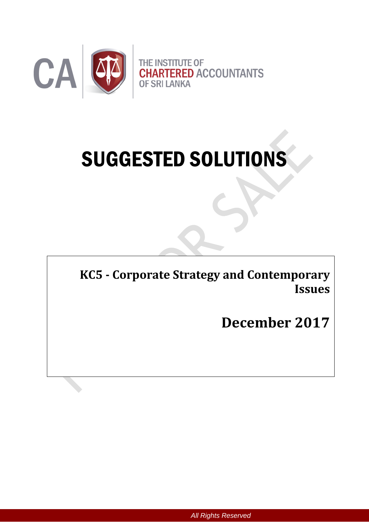

# SUGGESTED SOLUTIONS

**KC5 - Corporate Strategy and Contemporary Issues** 

**December 2017**

*All Rights Reserved*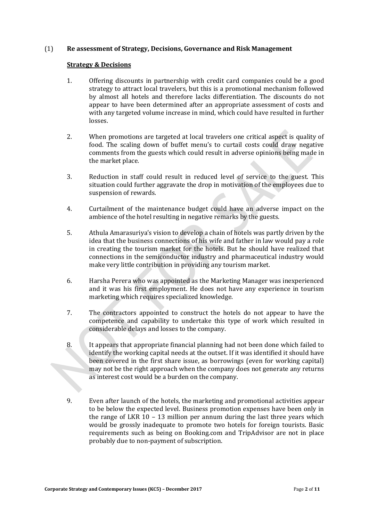#### (1) **Re assessment of Strategy, Decisions, Governance and Risk Management**

#### **Strategy & Decisions**

- 1. Offering discounts in partnership with credit card companies could be a good strategy to attract local travelers, but this is a promotional mechanism followed by almost all hotels and therefore lacks differentiation. The discounts do not appear to have been determined after an appropriate assessment of costs and with any targeted volume increase in mind, which could have resulted in further losses.
- 2. When promotions are targeted at local travelers one critical aspect is quality of food. The scaling down of buffet menu's to curtail costs could draw negative comments from the guests which could result in adverse opinions being made in the market place.
- 3. Reduction in staff could result in reduced level of service to the guest. This situation could further aggravate the drop in motivation of the employees due to suspension of rewards.
- 4. Curtailment of the maintenance budget could have an adverse impact on the ambience of the hotel resulting in negative remarks by the guests.
- 5. Athula Amarasuriya's vision to develop a chain of hotels was partly driven by the idea that the business connections of his wife and father in law would pay a role in creating the tourism market for the hotels. But he should have realized that connections in the semiconductor industry and pharmaceutical industry would make very little contribution in providing any tourism market.
- 6. Harsha Perera who was appointed as the Marketing Manager was inexperienced and it was his first employment. He does not have any experience in tourism marketing which requires specialized knowledge.
- 7. The contractors appointed to construct the hotels do not appear to have the competence and capability to undertake this type of work which resulted in considerable delays and losses to the company.
- 8. It appears that appropriate financial planning had not been done which failed to identify the working capital needs at the outset. If it was identified it should have been covered in the first share issue, as borrowings (even for working capital) may not be the right approach when the company does not generate any returns as interest cost would be a burden on the company.
- 9. Even after launch of the hotels, the marketing and promotional activities appear to be below the expected level. Business promotion expenses have been only in the range of LKR 10 – 13 million per annum during the last three years which would be grossly inadequate to promote two hotels for foreign tourists. Basic requirements such as being on Booking.com and TripAdvisor are not in place probably due to non-payment of subscription.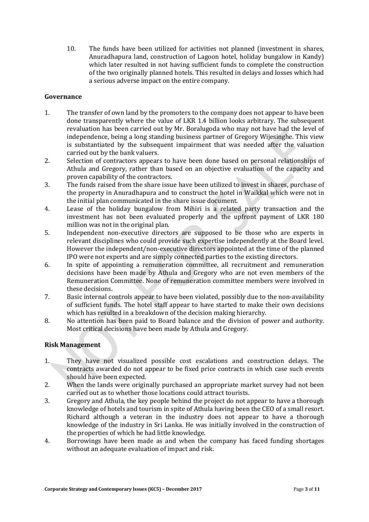10. The funds have been utilized for activities not planned (investment in shares, Anuradhapura land, construction of Lagoon hotel, holiday bungalow in Kandy) which later resulted in not having sufficient funds to complete the construction of the two originally planned hotels. This resulted in delays and losses which had a serious adverse impact on the entire company.

# **Governance**

- 1. The transfer of own land by the promoters to the company does not appear to have been done transparently where the value of LKR 1.4 billion looks arbitrary. The subsequent revaluation has been carried out by Mr. Boralugoda who may not have had the level of independence, being a long standing business partner of Gregory Wijesinghe. This view is substantiated by the subsequent impairment that was needed after the valuation carried out by the bank valuers.
- 2. Selection of contractors appears to have been done based on personal relationships of Athula and Gregory, rather than based on an objective evaluation of the capacity and proven capability of the contractors.
- 3. The funds raised from the share issue have been utilized to invest in shares, purchase of the property in Anuradhapura and to construct the hotel in Waikkal which were not in the initial plan communicated in the share issue document.
- 4. Lease of the holiday bungalow from Mihiri is a related party transaction and the investment has not been evaluated properly and the upfront payment of LKR 180 million was not in the original plan.
- 5. Independent non-executive directors are supposed to be those who are experts in relevant disciplines who could provide such expertise independently at the Board level. However the independent/non-executive directors appointed at the time of the planned IPO were not experts and are simply connected parties to the existing directors.
- 6. In spite of appointing a remuneration committee, all recruitment and remuneration decisions have been made by Athula and Gregory who are not even members of the Remuneration Committee. None of remuneration committee members were involved in these decisions.
- 7. Basic internal controls appear to have been violated, possibly due to the non-availability of sufficient funds. The hotel staff appear to have started to make their own decisions which has resulted in a breakdown of the decision making hierarchy.
- 8. No attention has been paid to Board balance and the division of power and authority. Most critical decisions have been made by Athula and Gregory.

#### **Risk Management**

- 1. They have not visualized possible cost escalations and construction delays. The contracts awarded do not appear to be fixed price contracts in which case such events should have been expected.
- 2. When the lands were originally purchased an appropriate market survey had not been carried out as to whether those locations could attract tourists.
- 3. Gregory and Athula, the key people behind the project do not appear to have a thorough knowledge of hotels and tourism in spite of Athula having been the CEO of a small resort. Richard although a veteran in the industry does not appear to have a thorough knowledge of the industry in Sri Lanka. He was initially involved in the construction of the properties of which he had little knowledge.
- 4. Borrowings have been made as and when the company has faced funding shortages without an adequate evaluation of impact and risk.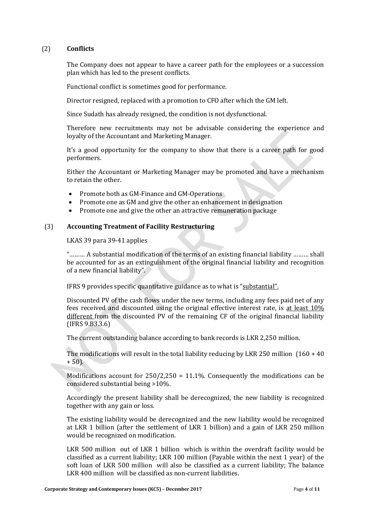## (2) **Conflicts**

The Company does not appear to have a career path for the employees or a succession plan which has led to the present conflicts.

Functional conflict is sometimes good for performance.

Director resigned, replaced with a promotion to CFO after which the GM left.

Since Sudath has already resigned, the condition is not dysfunctional.

Therefore new recruitments may not be advisable considering the experience and loyalty of the Accountant and Marketing Manager.

It's a good opportunity for the company to show that there is a career path for good performers.

Either the Accountant or Marketing Manager may be promoted and have a mechanism to retain the other.

- Promote both as GM-Finance and GM-Operations
- Promote one as GM and give the other an enhancement in designation
- Promote one and give the other an attractive remuneration package

## (3) **Accounting Treatment of Facility Restructuring**

LKAS 39 para 39-41 applies

"……… A substantial modification of the terms of an existing financial liability ……… shall be accounted for as an extinguishment of the original financial liability and recognition of a new financial liability".

IFRS 9 provides specific quantitative guidance as to what is "substantial".

Discounted PV of the cash flows under the new terms, including any fees paid net of any fees received and discounted using the original effective interest rate, is at least 10% different from the discounted PV of the remaining CF of the original financial liability (IFRS 9.B3.3.6)

The current outstanding balance according to bank records is LKR 2,250 million.

The modifications will result in the total liability reducing by LKR 250 million  $(160 + 40)$  $+ 50$ ).

Modifications account for  $250/2,250 = 11.1\%$ . Consequently the modifications can be considered substantial being >10%.

Accordingly the present liability shall be derecognized, the new liability is recognized together with any gain or loss.

The existing liability would be derecognized and the new liability would be recognized at LKR 1 billion (after the settlement of LKR 1 billion) and a gain of LKR 250 million would be recognized on modification.

LKR 500 million out of LKR 1 billion which is within the overdraft facility would be classified as a current liability; LKR 100 million (Payable within the next 1 year) of the soft loan of LKR 500 million will also be classified as a current liability; The balance LKR 400 million will be classified as non-current liabilities.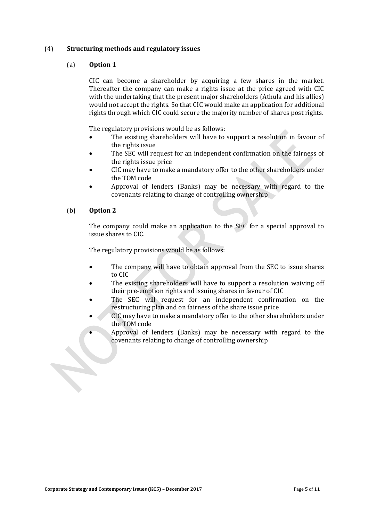## (4) **Structuring methods and regulatory issues**

## (a) **Option 1**

CIC can become a shareholder by acquiring a few shares in the market. Thereafter the company can make a rights issue at the price agreed with CIC with the undertaking that the present major shareholders (Athula and his allies) would not accept the rights. So that CIC would make an application for additional rights through which CIC could secure the majority number of shares post rights.

The regulatory provisions would be as follows:

- The existing shareholders will have to support a resolution in favour of the rights issue
- The SEC will request for an independent confirmation on the fairness of the rights issue price
- CIC may have to make a mandatory offer to the other shareholders under the TOM code
- Approval of lenders (Banks) may be necessary with regard to the covenants relating to change of controlling ownership

## (b) **Option 2**

The company could make an application to the SEC for a special approval to issue shares to CIC.

The regulatory provisions would be as follows:

- The company will have to obtain approval from the SEC to issue shares to CIC
- The existing shareholders will have to support a resolution waiving off their pre-emption rights and issuing shares in favour of CIC
- The SEC will request for an independent confirmation on the restructuring plan and on fairness of the share issue price
- CIC may have to make a mandatory offer to the other shareholders under the TOM code
	- Approval of lenders (Banks) may be necessary with regard to the covenants relating to change of controlling ownership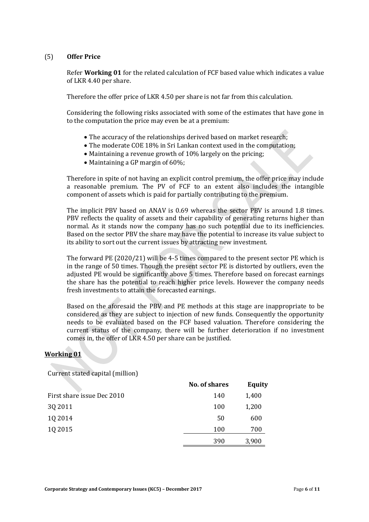## (5) **Offer Price**

Refer **Working 01** for the related calculation of FCF based value which indicates a value of LKR 4.40 per share.

Therefore the offer price of LKR 4.50 per share is not far from this calculation.

Considering the following risks associated with some of the estimates that have gone in to the computation the price may even be at a premium:

- The accuracy of the relationships derived based on market research;
- The moderate COE 18% in Sri Lankan context used in the computation;
- Maintaining a revenue growth of 10% largely on the pricing;
- Maintaining a GP margin of 60%;

Therefore in spite of not having an explicit control premium, the offer price may include a reasonable premium. The PV of FCF to an extent also includes the intangible component of assets which is paid for partially contributing to the premium.

The implicit PBV based on ANAV is 0.69 whereas the sector PBV is around 1.8 times. PBV reflects the quality of assets and their capability of generating returns higher than normal. As it stands now the company has no such potential due to its inefficiencies. Based on the sector PBV the share may have the potential to increase its value subject to its ability to sort out the current issues by attracting new investment.

The forward PE (2020/21) will be 4-5 times compared to the present sector PE which is in the range of 50 times. Though the present sector PE is distorted by outliers, even the adjusted PE would be significantly above 5 times. Therefore based on forecast earnings the share has the potential to reach higher price levels. However the company needs fresh investments to attain the forecasted earnings.

Based on the aforesaid the PBV and PE methods at this stage are inappropriate to be considered as they are subject to injection of new funds. Consequently the opportunity needs to be evaluated based on the FCF based valuation. Therefore considering the current status of the company, there will be further deterioration if no investment comes in, the offer of LKR 4.50 per share can be justified.

#### **Working 01**

Current stated capital (million)

|                            | No. of shares | <b>Equity</b> |
|----------------------------|---------------|---------------|
| First share issue Dec 2010 | 140           | 1,400         |
| 3Q 2011                    | 100           | 1,200         |
| 10 2014                    | 50            | 600           |
| 10 2015                    | 100           | 700           |
|                            | 390           | 3,900         |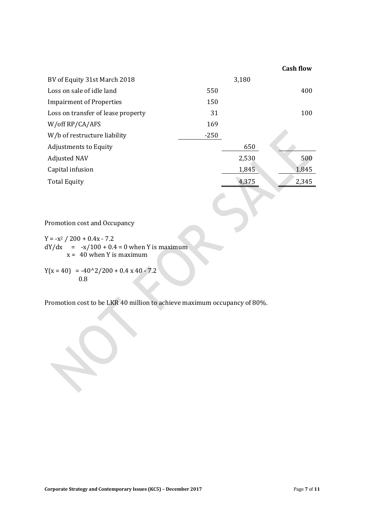|                                    |        |       | <b>Cash flow</b> |
|------------------------------------|--------|-------|------------------|
| BV of Equity 31st March 2018       |        | 3,180 |                  |
| Loss on sale of idle land          | 550    |       | 400              |
| <b>Impairment of Properties</b>    | 150    |       |                  |
| Loss on transfer of lease property | 31     |       | 100              |
| W/off RP/CA/AFS                    | 169    |       |                  |
| W/b of restructure liability       | $-250$ |       |                  |
| <b>Adjustments to Equity</b>       |        | 650   |                  |
| <b>Adjusted NAV</b>                |        | 2,530 | 500              |
| Capital infusion                   |        | 1,845 | 1,845            |
| <b>Total Equity</b>                |        | 4,375 | 2,345            |
|                                    |        |       |                  |

Promotion cost and Occupancy

 $Y = -x^2 / 200 + 0.4x - 7.2$  $dY/dx = -x/100 + 0.4 = 0$  when Y is maximum  $x = 40$  when Y is maximum

 $Y(x = 40) = -40^{\circ}2/200 + 0.4 \times 40 - 7.2$ 0.8

Promotion cost to be LKR 40 million to achieve maximum occupancy of 80%.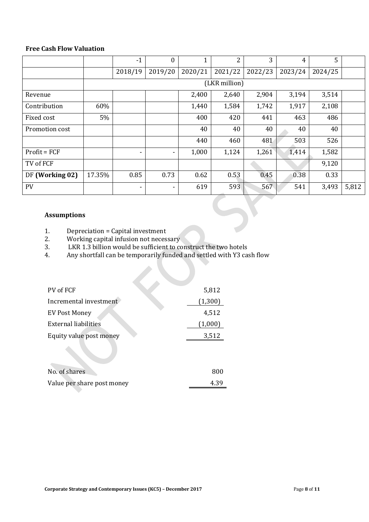# **Free Cash Flow Valuation**

|                 |        | $-1$          | $\overline{0}$ |         | 2       | 3       | 4       | 5       |       |
|-----------------|--------|---------------|----------------|---------|---------|---------|---------|---------|-------|
|                 |        | 2018/19       | 2019/20        | 2020/21 | 2021/22 | 2022/23 | 2023/24 | 2024/25 |       |
|                 |        | (LKR million) |                |         |         |         |         |         |       |
| Revenue         |        |               |                | 2,400   | 2,640   | 2,904   | 3,194   | 3,514   |       |
| Contribution    | 60%    |               |                | 1,440   | 1,584   | 1,742   | 1,917   | 2,108   |       |
| Fixed cost      | 5%     |               |                | 400     | 420     | 441     | 463     | 486     |       |
| Promotion cost  |        |               |                | 40      | 40      | 40      | 40      | 40      |       |
|                 |        |               |                | 440     | 460     | 481     | 503     | 526     |       |
| $Profit = FCF$  |        |               | ۰              | 1,000   | 1,124   | 1,261   | 1,414   | 1,582   |       |
| TV of FCF       |        |               |                |         |         |         |         | 9,120   |       |
| DF (Working 02) | 17.35% | 0.85          | 0.73           | 0.62    | 0.53    | 0.45    | 0.38    | 0.33    |       |
| <b>PV</b>       |        | ٠             | ۰              | 619     | 593     | 567     | 541     | 3,493   | 5,812 |

# **Assumptions**

- 1. Depreciation = Capital investment
- 2. Working capital infusion not necessary
- 2. EXAMPLE SUGARGED IN AN ALGO STATES IN A LARGED STAR ANY SHOW WOULD ALL Any shortfall can be temporarily funded and settled with Y3 ca
- 4. Any shortfall can be temporarily funded and settled with Y3 cash flow

| PV of FCF                  | 5,812   |
|----------------------------|---------|
| Incremental investment     | (1,300) |
| <b>EV Post Money</b>       | 4,512   |
| External liabilities       | (1,000) |
| Equity value post money    | 3,512   |
|                            |         |
| No. of shares              | 800     |
| Value per share post money | 4.39    |
|                            |         |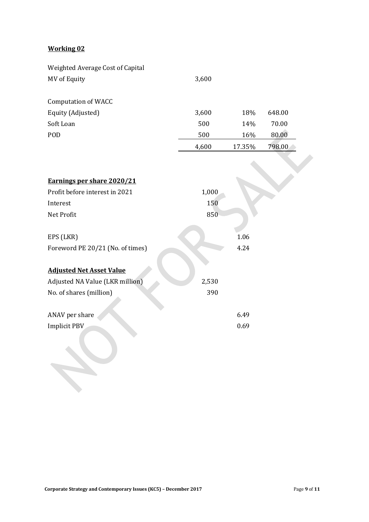# **Working 02**

| Weighted Average Cost of Capital |       |        |        |
|----------------------------------|-------|--------|--------|
| MV of Equity                     | 3,600 |        |        |
| <b>Computation of WACC</b>       |       |        |        |
| Equity (Adjusted)                | 3,600 | 18%    | 648.00 |
| Soft Loan                        | 500   | 14%    | 70.00  |
| POD                              | 500   | 16%    | 80.00  |
|                                  | 4,600 | 17.35% | 798.00 |
|                                  |       |        |        |
| Earnings per share 2020/21       |       |        |        |
| Profit before interest in 2021   | 1,000 |        |        |
| Interest                         | 150   |        |        |
| Net Profit                       | 850   |        |        |
| EPS (LKR)                        |       | 1.06   |        |
| Foreword PE 20/21 (No. of times) |       | 4.24   |        |
| <b>Adjusted Net Asset Value</b>  |       |        |        |
| Adjusted NA Value (LKR million)  | 2,530 |        |        |
| No. of shares (million)          | 390   |        |        |
| ANAV per share                   |       | 6.49   |        |
| Implicit PBV                     |       | 0.69   |        |
|                                  |       |        |        |
|                                  |       |        |        |
|                                  |       |        |        |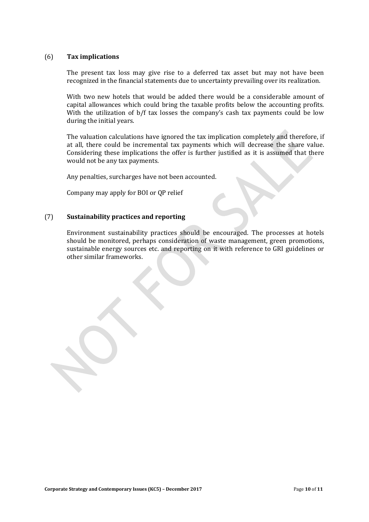#### (6) **Tax implications**

The present tax loss may give rise to a deferred tax asset but may not have been recognized in the financial statements due to uncertainty prevailing over its realization.

With two new hotels that would be added there would be a considerable amount of capital allowances which could bring the taxable profits below the accounting profits. With the utilization of b/f tax losses the company's cash tax payments could be low during the initial years.

The valuation calculations have ignored the tax implication completely and therefore, if at all, there could be incremental tax payments which will decrease the share value. Considering these implications the offer is further justified as it is assumed that there would not be any tax payments.

Any penalties, surcharges have not been accounted.

Company may apply for BOI or QP relief

#### (7) **Sustainability practices and reporting**

Environment sustainability practices should be encouraged. The processes at hotels should be monitored, perhaps consideration of waste management, green promotions, sustainable energy sources etc. and reporting on it with reference to GRI guidelines or other similar frameworks.